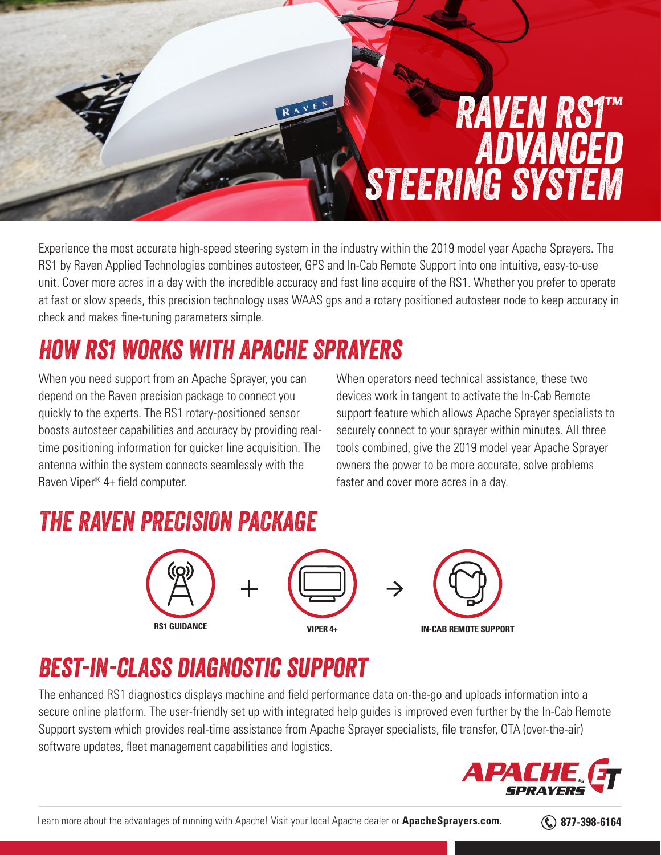# *RAVEN RS1™ Advanced STEERING SYSTEM*

Experience the most accurate high-speed steering system in the industry within the 2019 model year Apache Sprayers. The RS1 by Raven Applied Technologies combines autosteer, GPS and In-Cab Remote Support into one intuitive, easy-to-use unit. Cover more acres in a day with the incredible accuracy and fast line acquire of the RS1. Whether you prefer to operate at fast or slow speeds, this precision technology uses WAAS gps and a rotary positioned autosteer node to keep accuracy in check and makes fine-tuning parameters simple.

AVEN

### *How rs1 works with Apache Sprayers*

When you need support from an Apache Sprayer, you can depend on the Raven precision package to connect you quickly to the experts. The RS1 rotary-positioned sensor boosts autosteer capabilities and accuracy by providing realtime positioning information for quicker line acquisition. The antenna within the system connects seamlessly with the Raven Viper® 4+ field computer.

When operators need technical assistance, these two devices work in tangent to activate the In-Cab Remote support feature which allows Apache Sprayer specialists to securely connect to your sprayer within minutes. All three tools combined, give the 2019 model year Apache Sprayer owners the power to be more accurate, solve problems faster and cover more acres in a day.

#### *THE RAVEN PRECISION PACKAGE*





### *Best-in-class diagnostic support*

The enhanced RS1 diagnostics displays machine and field performance data on-the-go and uploads information into a secure online platform. The user-friendly set up with integrated help guides is improved even further by the In-Cab Remote Support system which provides real-time assistance from Apache Sprayer specialists, file transfer, OTA (over-the-air) software updates, fleet management capabilities and logistics.